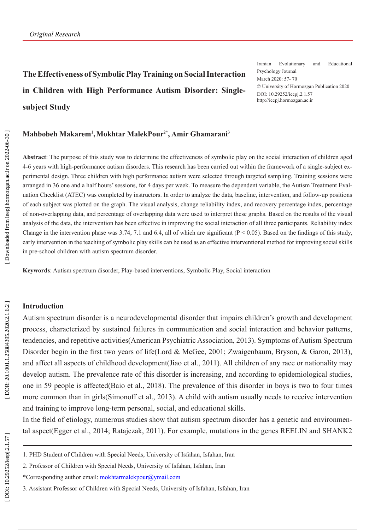**The Effectiveness of Symbolic Play Training on Social Interaction in Children with High Performance Autism Disorder: Singlesubject Study**

Iranian Evolutionary and Educational Psychology Journal March 2020: 57- 70 © University of Hormozgan Publication 2020 DOI: 10.29252/ieepj.2.1.57 http://ieepj.hormozgan.ac.ir

### **Mahbobeh Makarem 1 ,Mokhtar MalekPour2\*, Amir Ghamarani 3**

**Abstract**: The purpose of this study was to determine the effectiveness of symbolic play on the social interaction of children aged 4-6 years with high-performance autism disorders. This research has been carried out within the framework of a single-subject ex perimental design. Three children with high performance autism were selected through targeted sampling. Training sessions were arranged in 36 one and a half hours' sessions, for 4 days per week. To measure the dependent variable, the Autism Treatment Eval uation Checklist (ATEC) was completed by instructors. In order to analyze the data, baseline, intervention, and follow-up positions of each subject was plotted on the graph. The visual analysis, change reliability index, and recovery percentage index, percentage of non-overlapping data, and percentage of overlapping data were used to interpret these graphs. Based on the results of the visual analysis of the data, the intervention has been effective in improving the social interaction of all three participants. Reliability index Change in the intervention phase was 3.74, 7.1 and 6.4, all of which are significant ( $P \le 0.05$ ). Based on the findings of this study, early intervention in the teaching of symbolic play skills can be used as an effective interventional method for improving social skills in pre-school children with autism spectrum disorder.

**Keywords**: Autism spectrum disorder, Play-based interventions, Symbolic Play, Social interaction

### **Introduction**

Autism spectrum disorder is a neurodevelopmental disorder that impairs children's growth and development process, characterized by sustained failures in communication and social interaction and behavior patterns, tendencies, and repetitive activities(American Psychiatric Association, 2013). Symptoms of Autism Spectrum Disorder begin in the first two years of life(Lord & McGee, 2001; Zwaigenbaum, Bryson, & Garon, 2013), and affect all aspects of childhood development(Jiao et al., 2011). All children of any race or nationality may develop autism. The prevalence rate of this disorder is increasing, and according to epidemiological studies, one in 59 people is affected(Baio et al., 2018). The prevalence of this disorder in boys is two to four times more common than in girls(Simonoff et al., 2013). A child with autism usually needs to receive intervention and training to improve long-term personal, social, and educational skills.

In the field of etiology, numerous studies show that autism spectrum disorder has a genetic and environmen tal aspect(Egger et al., 2014; Ratajczak, 2011). For example, mutations in the genes REELIN and SHANK2

DOR: 20.1001.1.25884395.2020.2.1.6.2

<sup>1.</sup> PHD Student of Children with Special Needs, University of Isfahan, Isfahan, Iran

<sup>2.</sup> Professor of Children with Special Needs, University of Isfahan, Isfahan, Iran

<sup>\*</sup>Corresponding author email: mokhtarmalekpour@ymail.com

<sup>3.</sup> Assistant Professor of Children with Special Needs, University of Isfahan, Isfahan, Iran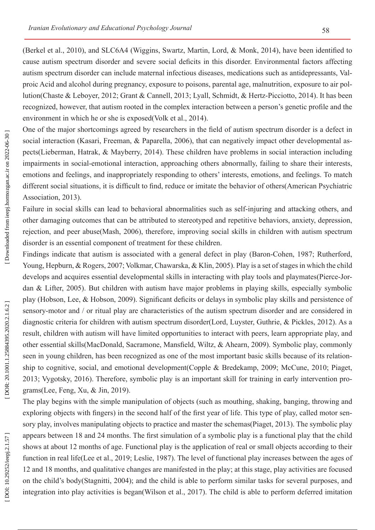(Berkel et al., 2010), and SLC6A4 (Wiggins, Swartz, Martin, Lord, & Monk, 2014), have been identified to cause autism spectrum disorder and severe social deficits in this disorder. Environmental factors affecting autism spectrum disorder can include maternal infectious diseases, medications such as antidepressants, Val proic Acid and alcohol during pregnancy, exposure to poisons, parental age, malnutrition, exposure to air pol lution(Chaste & Leboyer, 2012; Grant & Cannell, 2013; Lyall, Schmidt, & Hertz-Picciotto, 2014). It has been recognized, however, that autism rooted in the complex interaction between a person's genetic profile and the environment in which he or she is exposed(Volk et al., 2014).

One of the major shortcomings agreed by researchers in the field of autism spectrum disorder is a defect in social interaction (Kasari, Freeman, & Paparella, 2006), that can negatively impact other developmental as pects(Lieberman, Hatrak, & Mayberry, 2014). These children have problems in social interaction including impairments in social-emotional interaction, approaching others abnormally, failing to share their interests, emotions and feelings, and inappropriately responding to others' interests, emotions, and feelings. To match different social situations, it is difficult to find, reduce or imitate the behavior of others(American Psychiatric Association, 2013).

Failure in social skills can lead to behavioral abnormalities such as self-injuring and attacking others, and other damaging outcomes that can be attributed to stereotyped and repetitive behaviors, anxiety, depression, rejection, and peer abuse(Mash, 2006), therefore, improving social skills in children with autism spectrum disorder is an essential component of treatment for these children.

Findings indicate that autism is associated with a general defect in play (Baron-Cohen, 1987; Rutherford, Young, Hepburn, & Rogers, 2007; Volkmar, Chawarska, & Klin, 2005). Play is a set of stages in which the child develops and acquires essential developmental skills in interacting with play tools and playmates(Pierce-Jor dan & Lifter, 2005). But children with autism have major problems in playing skills, especially symbolic play (Hobson, Lee, & Hobson, 2009). Significant deficits or delays in symbolic play skills and persistence of sensory-motor and / or ritual play are characteristics of the autism spectrum disorder and are considered in diagnostic criteria for children with autism spectrum disorder(Lord, Luyster, Guthrie, & Pickles, 2012). As a result, children with autism will have limited opportunities to interact with peers, learn appropriate play, and other essential skills(MacDonald, Sacramone, Mansfield, Wiltz, & Ahearn, 2009). Symbolic play, commonly seen in young children, has been recognized as one of the most important basic skills because of its relation ship to cognitive, social, and emotional development(Copple & Bredekamp, 2009; McCune, 2010; Piaget, 2013; Vygotsky, 2016). Therefore, symbolic play is an important skill for training in early intervention pro grams(Lee, Feng, Xu, & Jin, 2019).

The play begins with the simple manipulation of objects (such as mouthing, shaking, banging, throwing and exploring objects with fingers) in the second half of the first year of life. This type of play, called motor sen sory play, involves manipulating objects to practice and master the schemas(Piaget, 2013). The symbolic play appears between 18 and 24 months. The first simulation of a symbolic play is a functional play that the child shows at about 12 months of age. Functional play is the application of real or small objects according to their function in real life(Lee et al., 2019; Leslie, 1987). The level of functional play increases between the ages of 12 and 18 months, and qualitative changes are manifested in the play; at this stage, play activities are focused on the child's body(Stagnitti, 2004); and the child is able to perform similar tasks for several purposes, and integration into play activities is began(Wilson et al., 2017). The child is able to perform deferred imitation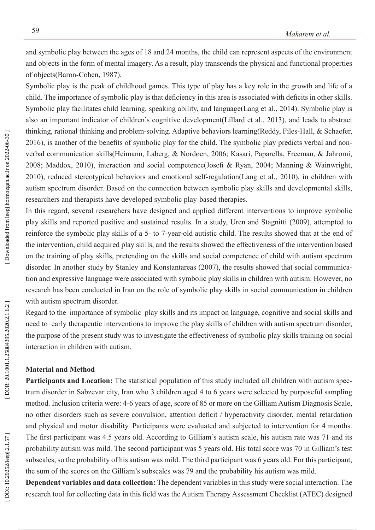and symbolic play between the ages of 18 and 24 months, the child can represent aspects of the environment and objects in the form of mental imagery. As a result, play transcends the physical and functional properties of objects(Baron-Cohen, 1987).

Symbolic play is the peak of childhood games. This type of play has a key role in the growth and life of a child. The importance of symbolic play is that deficiency in this area is associated with deficits in other skills. Symbolic play facilitates child learning, speaking ability, and language(Lang et al., 2014). Symbolic play is also an important indicator of children's cognitive development(Lillard et al., 2013), and leads to abstract thinking, rational thinking and problem-solving. Adaptive behaviors learning(Reddy, Files-Hall, & Schaefer, 2016), is another of the benefits of symbolic play for the child. The symbolic play predicts verbal and non verbal communication skills(Heimann, Laberg, & Nordøen, 2006; Kasari, Paparella, Freeman, & Jahromi, 2008; Maddox, 2010), interaction and social competence(Josefi & Ryan, 2004; Manning & Wainwright, 2010), reduced stereotypical behaviors and emotional self-regulation(Lang et al., 2010), in children with autism spectrum disorder. Based on the connection between symbolic play skills and developmental skills, researchers and therapists have developed symbolic play-based therapies.

In this regard, several researchers have designed and applied different interventions to improve symbolic play skills and reported positive and sustained results. In a study, Uren and Stagnitti (2009), attempted to reinforce the symbolic play skills of a 5- to 7-year-old autistic child. The results showed that at the end of the intervention, child acquired play skills, and the results showed the effectiveness of the intervention based on the training of play skills, pretending on the skills and social competence of child with autism spectrum disorder. In another study by Stanley and Konstantareas (2007), the results showed that social communication and expressive language were associated with symbolic play skills in children with autism. However, no research has been conducted in Iran on the role of symbolic play skills in social communication in children with autism spectrum disorder.

Regard to the importance of symbolic play skills and its impact on language, cognitive and social skills and need to early therapeutic interventions to improve the play skills of children with autism spectrum disorder, the purpose of the present study was to investigate the effectiveness of symbolic play skills training on social interaction in children with autism.

## **Material and Method**

Participants and Location: The statistical population of this study included all children with autism spectrum disorder in Sabzevar city, Iran who 3 children aged 4 to 6 years were selected by purposeful sampling method. Inclusion criteria were: 4-6 years of age, score of 85 or more on the Gilliam Autism Diagnosis Scale, no other disorders such as severe convulsion, attention deficit / hyperactivity disorder, mental retardation and physical and motor disability. Participants were evaluated and subjected to intervention for 4 months. The first participant was 4.5 years old. According to Gilliam's autism scale, his autism rate was 71 and its probability autism was mild. The second participant was 5 years old. His total score was 70 in Gilliam's test subscales, so the probability of his autism was mild. The third participant was 6 years old. For this participant, the sum of the scores on the Gilliam's subscales was 79 and the probability his autism was mild.

**Dependent variables and data collection:** The dependent variables in this study were social interaction. The research tool for collecting data in this field was the Autism Therapy Assessment Checklist (ATEC) designed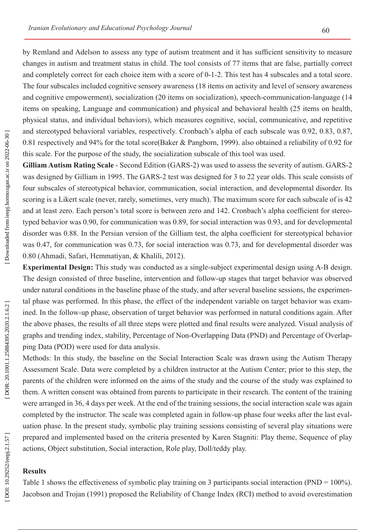by Remland and Adelson to assess any type of autism treatment and it has sufficient sensitivity to measure changes in autism and treatment status in child. The tool consists of 77 items that are false, partially correct and completely correct for each choice item with a score of 0-1-2. This test has 4 subscales and a total score. The four subscales included cognitive sensory awareness (18 items on activity and level of sensory awareness and cognitive empowerment), socialization (20 items on socialization), speech-communication-language (14 items on speaking, Language and communication) and physical and behavioral health (25 items on health, physical status, and individual behaviors), which measures cognitive, social, communicative, and repetitive and stereotyped behavioral variables, respectively. Cronbach's alpha of each subscale was 0.92, 0.83, 0.87, 0.81 respectively and 94% for the total score(Baker & Pangborn, 1999). also obtained a reliability of 0.92 for this scale. For the purpose of the study, the socialization subscale of this tool was used.

**Gilliam Autism Rating Scale** - Second Edition (GARS-2) was used to assess the severity of autism. GARS-2 was designed by Gilliam in 1995. The GARS-2 test was designed for 3 to 22 year olds. This scale consists of four subscales of stereotypical behavior, communication, social interaction, and developmental disorder. Its scoring is a Likert scale (never, rarely, sometimes, very much). The maximum score for each subscale of is 42 and at least zero. Each person's total score is between zero and 142. Cronbach's alpha coefficient for stereo typed behavior was 0.90, for communication was 0.89, for social interaction was 0.93, and for developmental disorder was 0.88. In the Persian version of the Gilliam test, the alpha coefficient for stereotypical behavior was 0.47, for communication was 0.73, for social interaction was 0.73, and for developmental disorder was 0.80 (Ahmadi, Safari, Hemmatiyan, & Khalili, 2012).

**Experimental Design:** This study was conducted as a single-subject experimental design using A-B design. The design consisted of three baseline, intervention and follow-up stages that target behavior was observed under natural conditions in the baseline phase of the study, and after several baseline sessions, the experimen tal phase was performed. In this phase, the effect of the independent variable on target behavior was exam ined. In the follow-up phase, observation of target behavior was performed in natural conditions again. After the above phases, the results of all three steps were plotted and final results were analyzed. Visual analysis of graphs and trending index, stability, Percentage of Non-Overlapping Data (PND) and Percentage of Overlap ping Data (POD) were used for data analysis.

Methods: In this study, the baseline on the Social Interaction Scale was drawn using the Autism Therapy Assessment Scale. Data were completed by a children instructor at the Autism Center; prior to this step, the parents of the children were informed on the aims of the study and the course of the study was explained to them. A written consent was obtained from parents to participate in their research. The content of the training were arranged in 36, 4 days per week. At the end of the training sessions, the social interaction scale was again completed by the instructor. The scale was completed again in follow-up phase four weeks after the last eval uation phase. In the present study, symbolic play training sessions consisting of several play situations were prepared and implemented based on the criteria presented by Karen Stagniti: Play theme, Sequence of play actions, Object substitution, Social interaction, Role play, Doll/teddy play.

# **Results**

Table 1 shows the effectiveness of symbolic play training on 3 participants social interaction (PND = 100%). Jacobson and Trojan (1991) proposed the Reliability of Change Index (RCI) method to avoid overestimation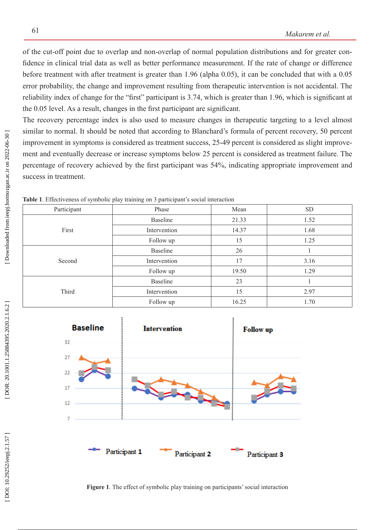of the cut-off point due to overlap and non-overlap of normal population distributions and for greater con fidence in clinical trial data as well as better performance measurement. If the rate of change or difference before treatment with after treatment is greater than 1.96 (alpha 0.05), it can be concluded that with a 0.05 error probability, the change and improvement resulting from therapeutic intervention is not accidental. The reliability index of change for the "first" participant is 3.74, which is greater than 1.96, which is significant at the 0.05 level. As a result, changes in the first participant are significant.

The recovery percentage index is also used to measure changes in therapeutic targeting to a level almost similar to normal. It should be noted that according to Blanchard's formula of percent recovery, 50 percent improvement in symptoms is considered as treatment success, 25-49 percent is considered as slight improve ment and eventually decrease or increase symptoms below 25 percent is considered as treatment failure. The percentage of recovery achieved by the first participant was 54%, indicating appropriate improvement and success in treatment.

| Participant | Phase           | Mean  | <b>SD</b> |
|-------------|-----------------|-------|-----------|
| First       | Baseline        | 21.33 | 1.52      |
|             | Intervention    | 14.37 | 1.68      |
|             | Follow up       | 15    | 1.25      |
| Second      | Baseline        | 26    |           |
|             | Intervention    | 17    | 3.16      |
|             | Follow up       | 19.50 | 1.29      |
| Third       | <b>Baseline</b> | 23    |           |
|             | Intervention    | 15    | 2.97      |
|             | Follow up       | 16.25 | 1.70      |

**Table 1**. Effectiveness of symbolic play training on 3 participant's social interaction



**Figure 1**. The effect of symbolic play training on participants' social interaction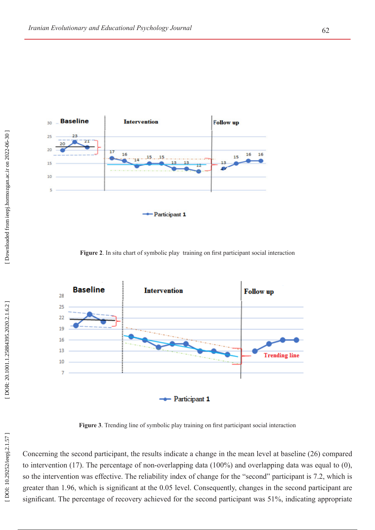

**Figure 2**. In situ chart of symbolic play training on first participant social interaction



**Figure 3**. Trending line of symbolic play training on first participant social interaction

Concerning the second participant, the results indicate a change in the mean level at baseline (26) compared to intervention (17). The percentage of non-overlapping data (100%) and overlapping data was equal to (0), so the intervention was effective. The reliability index of change for the "second" participant is 7.2, which is greater than 1.96, which is significant at the 0.05 level. Consequently, changes in the second participant are significant. The percentage of recovery achieved for the second participant was 51%, indicating appropriate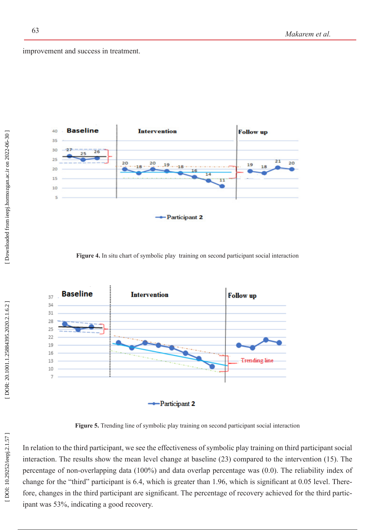improvement and success in treatment.



**Figure 4.** In situ chart of symbolic play training on second participant social interaction



Figure 5. Trending line of symbolic play training on second participant social interaction

In relation to the third participant, we see the effectiveness of symbolic play training on third participant social interaction. The results show the mean level change at baseline (23) compared to the intervention (15). The percentage of non-overlapping data (100%) and data overlap percentage was (0.0). The reliability index of change for the "third" participant is 6.4, which is greater than 1.96, which is significant at 0.05 level. There fore, changes in the third participant are significant. The percentage of recovery achieved for the third participant was 53%, indicating a good recovery.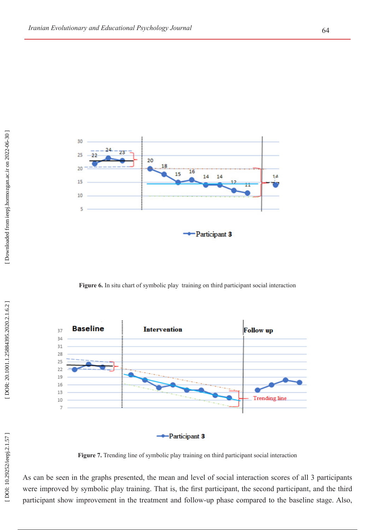

**Figure 6.** In situ chart of symbolic play training on third participant social interaction



Figure 7. Trending line of symbolic play training on third participant social interaction

As can be seen in the graphs presented, the mean and level of social interaction scores of all 3 participants were improved by symbolic play training. That is, the first participant, the second participant, and the third participant show improvement in the treatment and follow-up phase compared to the baseline stage. Also,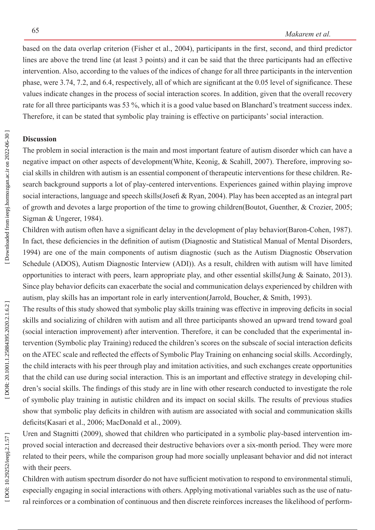based on the data overlap criterion (Fisher et al., 2004), participants in the first, second, and third predictor lines are above the trend line (at least 3 points) and it can be said that the three participants had an effective intervention. Also, according to the values of the indices of change for all three participants in the intervention phase, were 3.74, 7.2, and 6.4, respectively, all of which are significant at the 0.05 level of significance. These values indicate changes in the process of social interaction scores. In addition, given that the overall recovery rate for all three participants was 53 %, which it is a good value based on Blanchard's treatment success index. Therefore, it can be stated that symbolic play training is effective on participants' social interaction.

## **Discussion**

The problem in social interaction is the main and most important feature of autism disorder which can have a negative impact on other aspects of development (White, Keonig, & Scahill, 2007). Therefore, improving social skills in children with autism is an essential component of therapeutic interventions for these children. Re search background supports a lot of play-centered interventions. Experiences gained within playing improve social interactions, language and speech skills(Josefi & Ryan, 2004). Play has been accepted as an integral part of growth and devotes a large proportion of the time to growing children(Boutot, Guenther, & Crozier, 2005; Sigman & Ungerer, 1984).

Children with autism often have a significant delay in the development of play behavior(Baron-Cohen, 1987). In fact, these deficiencies in the definition of autism (Diagnostic and Statistical Manual of Mental Disorders, 1994) are one of the main components of autism diagnostic (such as the Autism Diagnostic Observation Schedule (ADOS), Autism Diagnostic Interview (ADI)). As a result, children with autism will have limited opportunities to interact with peers, learn appropriate play, and other essential skills(Jung & Sainato, 2013). Since play behavior deficits can exacerbate the social and communication delays experienced by children with autism, play skills has an important role in early intervention(Jarrold, Boucher, & Smith, 1993).

The results of this study showed that symbolic play skills training was effective in improving deficits in social skills and socializing of children with autism and all three participants showed an upward trend toward goal (social interaction improvement) after intervention. Therefore, it can be concluded that the experimental in tervention (Symbolic play Training) reduced the children's scores on the subscale of social interaction deficits on the ATEC scale and reflected the effects of Symbolic Play Training on enhancing social skills. Accordingly, the child interacts with his peer through play and imitation activities, and such exchanges create opportunities that the child can use during social interaction. This is an important and effective strategy in developing chil dren's social skills. The findings of this study are in line with other research conducted to investigate the role of symbolic play training in autistic children and its impact on social skills. The results of previous studies show that symbolic play deficits in children with autism are associated with social and communication skills deficits(Kasari et al., 2006; MacDonald et al., 2009).

Uren and Stagnitti (2009), showed that children who participated in a symbolic play-based intervention im proved social interaction and decreased their destructive behaviors over a six-month period. They were more related to their peers, while the comparison group had more socially unpleasant behavior and did not interact with their peers.

Children with autism spectrum disorder do not have sufficient motivation to respond to environmental stimuli, especially engaging in social interactions with others. Applying motivational variables such as the use of natu ral reinforces or a combination of continuous and then discrete reinforces increases the likelihood of perform -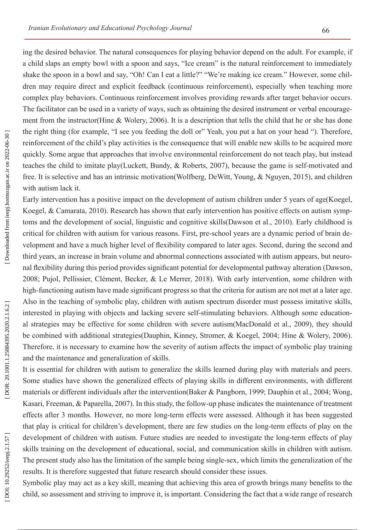ing the desired behavior. The natural consequences for playing behavior depend on the adult. For example, if a child slaps an empty bowl with a spoon and says, "Ice cream" is the natural reinforcement to immediately shake the spoon in a bowl and say, "Oh! Can I eat a little?" "We're making ice cream." However, some children may require direct and explicit feedback (continuous reinforcement), especially when teaching more complex play behaviors. Continuous reinforcement involves providing rewards after target behavior occurs. The facilitator can be used in a variety of ways, such as obtaining the desired instrument or verbal encourage ment from the instructor(Hine & Wolery, 2006). It is a description that tells the child that he or she has done the right thing (for example, "I see you feeding the doll or" Yeah, you put a hat on your head "). Therefore, reinforcement of the child's play activities is the consequence that will enable new skills to be acquired more quickly. Some argue that approaches that involve environmental reinforcement do not teach play, but instead teaches the child to imitate play(Luckett, Bundy, & Roberts, 2007), because the game is self-motivated and free. It is selective and has an intrinsic motivation(Wolfberg, DeWitt, Young, & Nguyen, 2015), and children with autism lack it.

Early intervention has a positive impact on the development of autism children under 5 years of age(Koegel, Koegel, & Camarata, 2010). Research has shown that early intervention has positive effects on autism symp toms and the development of social, linguistic and cognitive skills(Dawson et al., 2010). Early childhood is critical for children with autism for various reasons. First, pre-school years are a dynamic period of brain de velopment and have a much higher level of flexibility compared to later ages. Second, during the second and third years, an increase in brain volume and abnormal connections associated with autism appears, but neuro nal flexibility during this period provides significant potential for developmental pathway alteration (Dawson, 2008; Pujol, Pellissier, Clément, Becker, & Le Merrer, 2018). With early intervention, some children with high-functioning autism have made significant progress so that the criteria for autism are not met at a later age. Also in the teaching of symbolic play, children with autism spectrum disorder must possess imitative skills, interested in playing with objects and lacking severe self-stimulating behaviors. Although some education al strategies may be effective for some children with severe autism(MacDonald et al., 2009), they should be combined with additional strategies(Dauphin, Kinney, Stromer, & Koegel, 2004; Hine & Wolery, 2006). Therefore, it is necessary to examine how the severity of autism affects the impact of symbolic play training and the maintenance and generalization of skills.

It is essential for children with autism to generalize the skills learned during play with materials and peers. Some studies have shown the generalized effects of playing skills in different environments, with different materials or different individuals after the intervention(Baker & Pangborn, 1999; Dauphin et al., 2004; Wong, Kasari, Freeman, & Paparella, 2007). In this study, the follow-up phase indicates the maintenance of treatment effects after 3 months. However, no more long-term effects were assessed. Although it has been suggested that play is critical for children's development, there are few studies on the long-term effects of play on the development of children with autism. Future studies are needed to investigate the long-term effects of play skills training on the development of educational, social, and communication skills in children with autism. The present study also has the limitation of the sample being single-sex, which limits the generalization of the results. It is therefore suggested that future research should consider these issues.

Symbolic play may act as a key skill, meaning that achieving this area of growth brings many benefits to the child, so assessment and striving to improve it, is important. Considering the fact that a wide range of research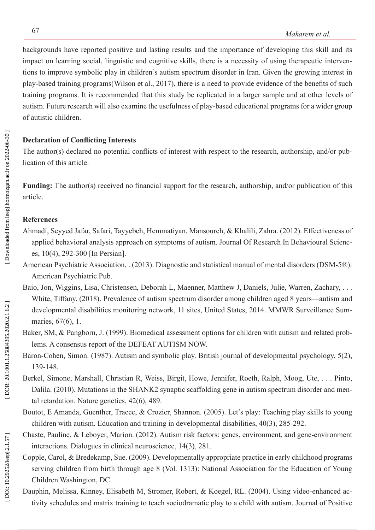backgrounds have reported positive and lasting results and the importance of developing this skill and its impact on learning social, linguistic and cognitive skills, there is a necessity of using therapeutic interven tions to improve symbolic play in children's autism spectrum disorder in Iran. Given the growing interest in play-based training programs(Wilson et al., 2017), there is a need to provide evidence of the benefits of such training programs. It is recommended that this study be replicated in a larger sample and at other levels of autism. Future research will also examine the usefulness of play-based educational programs for a wider group of autistic children.

## **Declaration of Conflicting Interests**

The author(s) declared no potential conflicts of interest with respect to the research, authorship, and/or pub lication of this article.

**Funding:** The author(s) received no financial support for the research, authorship, and/or publication of this article.

## **References**

- Ahmadi, Seyyed Jafar, Safari, Tayyebeh, Hemmatiyan, Mansoureh, & Khalili, Zahra. (2012). Effectiveness of applied behavioral analysis approach on symptoms of autism. Journal Of Research In Behavioural Scienc es, 10(4), 292-300 [In Persian].
- American Psychiatric Association, . (2013). Diagnostic and statistical manual of mental disorders (DSM-5®): American Psychiatric Pub.
- Baio, Jon, Wiggins, Lisa, Christensen, Deborah L, Maenner, Matthew J, Daniels, Julie, Warren, Zachary, . . . White, Tiffany. (2018). Prevalence of autism spectrum disorder among children aged 8 years—autism and developmental disabilities monitoring network, 11 sites, United States, 2014. MMWR Surveillance Sum maries, 67(6), 1.
- Baker, SM, & Pangborn, J. (1999). Biomedical assessment options for children with autism and related problems. A consensus report of the DEFEAT AUTISM NOW.
- Baron-Cohen, Simon. (1987). Autism and symbolic play. British journal of developmental psychology, 5(2), 139-148.
- Berkel, Simone, Marshall, Christian R, Weiss, Birgit, Howe, Jennifer, Roeth, Ralph, Moog, Ute, . . . Pinto, Dalila. (2010). Mutations in the SHANK2 synaptic scaffolding gene in autism spectrum disorder and men tal retardation. Nature genetics, 42(6), 489.
- Boutot, E Amanda, Guenther, Tracee, & Crozier, Shannon. (2005). Let's play: Teaching play skills to young children with autism. Education and training in developmental disabilities, 40(3), 285-292.
- Chaste, Pauline, & Leboyer, Marion. (2012). Autism risk factors: genes, environment, and gene-environment interactions. Dialogues in clinical neuroscience, 14(3), 281.
- Copple, Carol, & Bredekamp, Sue. (2009). Developmentally appropriate practice in early childhood programs serving children from birth through age 8 (Vol. 1313): National Association for the Education of Young Children Washington, DC.
- Dauphin, Melissa, Kinney, Elisabeth M, Stromer, Robert, & Koegel, RL. (2004). Using video-enhanced activity schedules and matrix training to teach sociodramatic play to a child with autism. Journal of Positive

DOI: 10.29252/ieepj.2.1.57]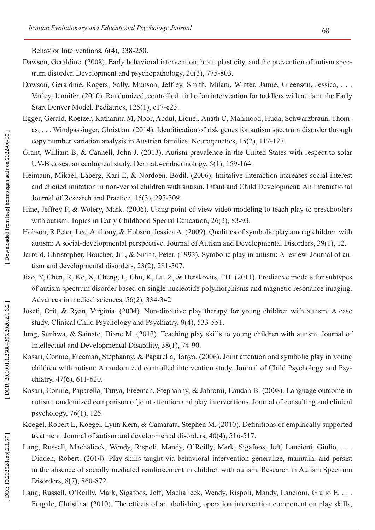Behavior Interventions, 6(4), 238-250.

- Dawson, Geraldine. (2008). Early behavioral intervention, brain plasticity, and the prevention of autism spec trum disorder. Development and psychopathology, 20(3), 775-803.
- Dawson, Geraldine, Rogers, Sally, Munson, Jeffrey, Smith, Milani, Winter, Jamie, Greenson, Jessica, ... Varley, Jennifer. (2010). Randomized, controlled trial of an intervention for toddlers with autism: the Early Start Denver Model. Pediatrics, 125(1), e17-e23.
- Egger, Gerald, Roetzer, Katharina M, Noor, Abdul, Lionel, Anath C, Mahmood, Huda, Schwarzbraun, Thom as, . . . Windpassinger, Christian. (2014). Identification of risk genes for autism spectrum disorder through copy number variation analysis in Austrian families. Neurogenetics, 15(2), 117-127.
- Grant, William B, & Cannell, John J. (2013). Autism prevalence in the United States with respect to solar UV-B doses: an ecological study. Dermato-endocrinology, 5(1), 159-164.
- Heimann, Mikael, Laberg, Kari E, & Nordøen, Bodil. (2006). Imitative interaction increases social interest and elicited imitation in non-verbal children with autism. Infant and Child Development: An International Journal of Research and Practice, 15(3), 297-309.
- Hine, Jeffrey F, & Wolery, Mark. (2006). Using point-of-view video modeling to teach play to preschoolers with autism. Topics in Early Childhood Special Education, 26(2), 83-93.
- Hobson, R Peter, Lee, Anthony, & Hobson, Jessica A. (2009). Qualities of symbolic play among children with autism: A social-developmental perspective. Journal of Autism and Developmental Disorders, 39(1), 12.
- Jarrold, Christopher, Boucher, Jill, & Smith, Peter. (1993). Symbolic play in autism: A review. Journal of autism and developmental disorders, 23(2), 281-307.
- Jiao, Y, Chen, R, Ke, X, Cheng, L, Chu, K, Lu, Z, & Herskovits, EH. (2011). Predictive models for subtypes of autism spectrum disorder based on single-nucleotide polymorphisms and magnetic resonance imaging. Advances in medical sciences, 56(2), 334-342.
- Josefi, Orit, & Ryan, Virginia. (2004). Non-directive play therapy for young children with autism: A case study. Clinical Child Psychology and Psychiatry, 9(4), 533-551.
- Jung, Sunhwa, & Sainato, Diane M. (2013). Teaching play skills to young children with autism. Journal of Intellectual and Developmental Disability, 38(1), 74-90.
- Kasari, Connie, Freeman, Stephanny, & Paparella, Tanya. (2006). Joint attention and symbolic play in young children with autism: A randomized controlled intervention study. Journal of Child Psychology and Psy chiatry, 47(6), 611-620.
- Kasari, Connie, Paparella, Tanya, Freeman, Stephanny, & Jahromi, Laudan B. (2008). Language outcome in autism: randomized comparison of joint attention and play interventions. Journal of consulting and clinical psychology, 76(1), 125.
- Koegel, Robert L, Koegel, Lynn Kern, & Camarata, Stephen M. (2010). Definitions of empirically supported treatment. Journal of autism and developmental disorders, 40(4), 516-517.
- Lang, Russell, Machalicek, Wendy, Rispoli, Mandy, O'Reilly, Mark, Sigafoos, Jeff, Lancioni, Giulio, . . . Didden, Robert. (2014). Play skills taught via behavioral intervention generalize, maintain, and persist in the absence of socially mediated reinforcement in children with autism. Research in Autism Spectrum Disorders, 8(7), 860-872.
- Lang, Russell, O'Reilly, Mark, Sigafoos, Jeff, Machalicek, Wendy, Rispoli, Mandy, Lancioni, Giulio E, . . . Fragale, Christina. (2010). The effects of an abolishing operation intervention component on play skills,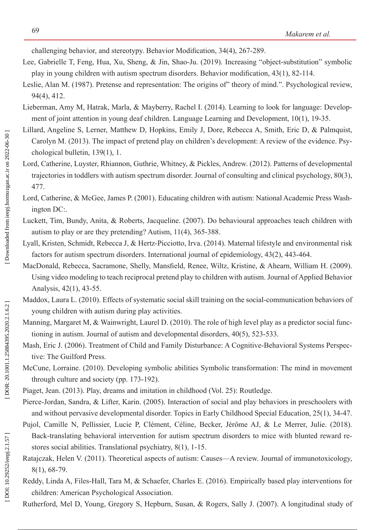challenging behavior, and stereotypy. Behavior Modification, 34(4), 267-289.

- Lee, Gabrielle T, Feng, Hua, Xu, Sheng, & Jin, Shao-Ju. (2019). Increasing "object-substitution" symbolic play in young children with autism spectrum disorders. Behavior modification, 43(1), 82-114.
- Leslie, Alan M. (1987). Pretense and representation: The origins of" theory of mind.". Psychological review, 94(4), 412.
- Lieberman, Amy M, Hatrak, Marla, & Mayberry, Rachel I. (2014). Learning to look for language: Develop ment of joint attention in young deaf children. Language Learning and Development, 10(1), 19-35.
- Lillard, Angeline S, Lerner, Matthew D, Hopkins, Emily J, Dore, Rebecca A, Smith, Eric D, & Palmquist, Carolyn M. (2013). The impact of pretend play on children's development: A review of the evidence. Psy chological bulletin, 139(1), 1.
- Lord, Catherine, Luyster, Rhiannon, Guthrie, Whitney, & Pickles, Andrew. (2012). Patterns of developmental trajectories in toddlers with autism spectrum disorder. Journal of consulting and clinical psychology, 80(3), 477.
- Lord, Catherine, & McGee, James P. (2001). Educating children with autism: National Academic Press Wash ington DC:.
- Luckett, Tim, Bundy, Anita, & Roberts, Jacqueline. (2007). Do behavioural approaches teach children with autism to play or are they pretending? Autism, 11(4), 365-388.
- Lyall, Kristen, Schmidt, Rebecca J, & Hertz-Picciotto, Irva. (2014). Maternal lifestyle and environmental risk factors for autism spectrum disorders. International journal of epidemiology, 43(2), 443-464.
- MacDonald, Rebecca, Sacramone, Shelly, Mansfield, Renee, Wiltz, Kristine, & Ahearn, William H. (2009). Using video modeling to teach reciprocal pretend play to children with autism. Journal of Applied Behavior Analysis, 42(1), 43-55.
- Maddox, Laura L. (2010). Effects of systematic social skill training on the social-communication behaviors of young children with autism during play activities.
- Manning, Margaret M, & Wainwright, Laurel D. (2010). The role of high level play as a predictor social func tioning in autism. Journal of autism and developmental disorders, 40(5), 523-533.
- Mash, Eric J. (2006). Treatment of Child and Family Disturbance: A Cognitive-Behavioral Systems Perspective: The Guilford Press.
- McCune, Lorraine. (2010). Developing symbolic abilities Symbolic transformation: The mind in movement through culture and society (pp. 173-192).
- Piaget, Jean. (2013). Play, dreams and imitation in childhood (Vol. 25): Routledge.
- Pierce-Jordan, Sandra, & Lifter, Karin. (2005). Interaction of social and play behaviors in preschoolers with and without pervasive developmental disorder. Topics in Early Childhood Special Education, 25(1), 34-47.
- Pujol, Camille N, Pellissier, Lucie P, Clément, Céline, Becker, Jérôme AJ, & Le Merrer, Julie. (2018). Back-translating behavioral intervention for autism spectrum disorders to mice with blunted reward re stores social abilities. Translational psychiatry, 8(1), 1-15.
- Ratajczak, Helen V. (2011). Theoretical aspects of autism: Causes—A review. Journal of immunotoxicology, 8(1), 68-79.
- Reddy, Linda A, Files-Hall, Tara M, & Schaefer, Charles E. (2016). Empirically based play interventions for children: American Psychological Association.
- Rutherford, Mel D, Young, Gregory S, Hepburn, Susan, & Rogers, Sally J. (2007). A longitudinal study of